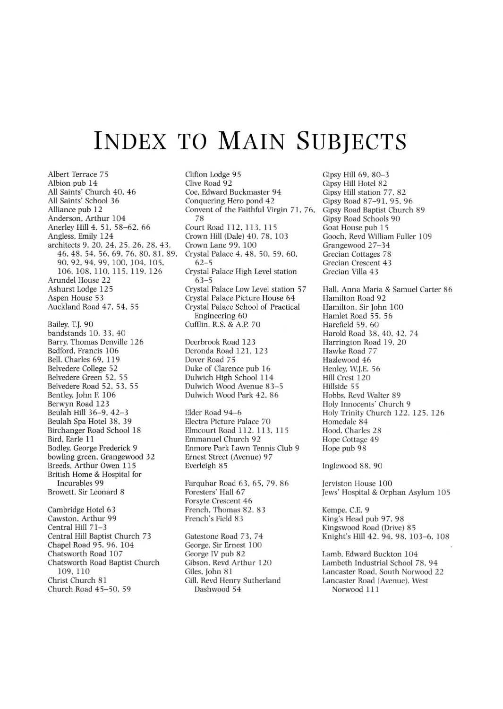## **INDEX TO MAIN SUBJECTS**

Clifton Lodge 95

Albert Terrace 75 Albion pub 14 All Saints' Church 40. 46 All Saints' School 36 Alliance pub 12 Anderson. Arthur 104 Anerley Hill 4. 51. 58-62. 66 Angless. Emily 124 architects 9. 20. 24. 25. 26. 28. 43. 46.48.54.56.69.76.80.81.89. 90.92.94.99.100.104.105. 106, 108, 110, 115, 119, 126 Arundel House 22 Ashurst Lodge 125 Aspen House 53 Auckland Road 47. 54. 55 Bailey. T.J. 90 bandstands 10. 33.40 Barry. Thomas Denville 126 Bedford. Francis 106 Bell. Charles 69. 119 Belvedere College 52 **Belvedere Green 52. 55** Belvedere Road 52. 53. 55 Bentley. John F. 106 Berwyn Road 123 Beulah Hill 36-9. 42-3 Beulah Spa Hotel 38. 39 Birchanger Road School 18 Bird. Earle 11 Bodley. George Frederick 9 bowling green. Grangewood 32 Breeds. Arthur OWen 115 British Home & Hospital for lncurables 99 Browett. Sir Leonard 8 Cambridge Hotel 63 Cawston. Arthur 99 Central Hill 71-3 Central Hill Baptist Church 73 Chapel Road 95. 96. 104 Chatsworth Road 107 Chatsworth Road Baptist Church 109. 110

Christ Church 81 Chureh Road 45-50. 59 Clive Road 92 Coe. Edward Buckmaster 94 **Conquering Hero pond 42** Convent of the Faithful Virgin 71. 76. 78 Court Road 112, 113, 115 Crown Hill (Dale) 40. 78. 103 Crown Lane 99. 100 Crystal Palace 4. 48. 50, 59. 60. 62-5 **Crystal Palace High Level station** 63-5 Crystal Palace Low Level station 57 **Crystal Palace Picture House 64** Crystal Palace School of Practical **Engineering 60** Cufflin. R.S. & A.P. 70 Deerbrook Road 123 Deronda Road 121. 123

Dover Road 75 Duke of Clarence pub 16 Dulwich High School 114 **Dulwich Wood Avenue 83-5** Dulwich Wood Park 42. 86

Elder Road 94~6 Electra Picture Palace 70 Elmcourt Road 112.113.115 Emmanuel Church 92 **Enmorc Park Lawn Tennis Club 9** Ernest Street (Avenue) 97 Everleigh 85

Farquhar Road 63. 65. 79.86 Foresters' Hall 67 **Forsyte Crescent 46** French. Thomas 82. 83 French's Field 83

Gatestone Road 73, 74 **George. Sir Erncst 100** George IV pub 82 Gibson. Revd Arthur 120 Giles. John 81 Gill. Revd Henry Sutherland Dashwood 54

Gipsy Hill 69. 80-3 Gipsy Hill Hotel 82 Gipsy Hill station 77. 82 Gipsy Road 87-91. 95. 96 Gipsy Road Baptist Church 89 Gipsy Road Schools 90 Goat House pub 15 Gooch. Revd William Fuller 109 Grangewood 27-34 **Grecian Cottages 78 Grecian Crescent 43** Grecian Villa 43

Hall. Anna Maria & Samuel Carter 86 Hamilton Road 92 Hamilton. Sir John 100 Hamlet Road 55. 56 Harefield 59. 60 Harold Road 38.40.42. 74 Harrington Road 19, 20 **Hawke Road 77** Hazlewood 46 Henley. WJ.E. 56 Hill Crest 120 Hillside 55 Hobbs. Revd Waiter 89 Holy Innocents' Church 9 Holy Trinity Church 122. 125. 126 Homedale 84 Hood. Charles 28 Hope Cottage 49 Hope pub 98

Inglewood 88. 90

Jerviston House 100 Jews' Hospital & Orphan Asylum 105

Kempe. C.E. 9 King's Head pub 97. 98 Kingswood Road (Drive) 85 Knight's Hill 42. 94. 98. 103-6. 108

Lamb. Edward Buckton 104 Lambeth Industrial School 78. 94 **Lancaster Road. South orwood 22 Lancaster Road (Avenue). West** Norwood 111